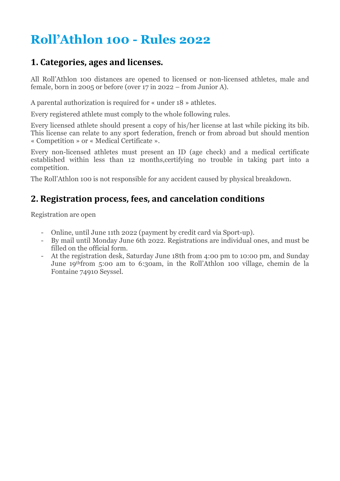# Roll'Athlon 100 - Rules 2022

#### 1. Categories, ages and licenses.

All Roll'Athlon 100 distances are opened to licensed or non-licensed athletes, male and female, born in 2005 or before (over 17 in 2022 – from Junior A).

A parental authorization is required for « under 18 » athletes.

Every registered athlete must comply to the whole following rules.

Every licensed athlete should present a copy of his/her license at last while picking its bib. This license can relate to any sport federation, french or from abroad but should mention « Competition » or « Medical Certificate ».

Every non-licensed athletes must present an ID (age check) and a medical certificate established within less than 12 months,certifying no trouble in taking part into a competition.

The Roll'Athlon 100 is not responsible for any accident caused by physical breakdown.

#### 2. Registration process, fees, and cancelation conditions

Registration are open

- Online, until June 11th 2022 (payment by credit card via Sport-up).
- By mail until Monday June 6th 2022. Registrations are individual ones, and must be filled on the official form.
- At the registration desk, Saturday June 18th from 4:00 pm to 10:00 pm, and Sunday June 19thfrom 5:00 am to 6:30am, in the Roll'Athlon 100 village, chemin de la Fontaine 74910 Seyssel.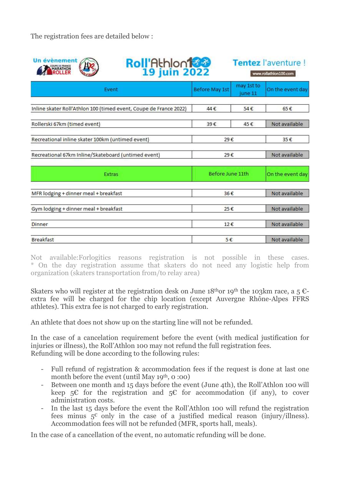The registration fees are detailed below :

| <b>Un évènement</b><br><b>Roll'Athlon 133</b><br>OUPE DE FRANCE<br>MARATHON<br>IROLLER |                       | Tentez l'aventure !<br>www.rollathlon100.com |                  |
|----------------------------------------------------------------------------------------|-----------------------|----------------------------------------------|------------------|
| Event                                                                                  | <b>Before May 1st</b> | may 1st to<br>iune 11                        | On the event day |
| Inline skater Roll'Athlon 100 (timed event, Coupe de France 2022)                      | 44€                   | 54€                                          | 65€              |
| Rollerski 67km (timed event)                                                           | 39€                   | 45€                                          | Not available    |
| Recreational inline skater 100km (untimed event)                                       | 29€                   |                                              | 35€              |
| Recreational 67km Inline/Skateboard (untimed event)                                    | 29€                   |                                              | Not available    |
| <b>Extras</b>                                                                          | Before June 11th      |                                              | On the event day |
| MFR lodging + dinner meal + breakfast                                                  | 36€                   |                                              | Not available    |
| Gym lodging + dinner meal + breakfast                                                  | 25€                   |                                              | Not available    |
| <b>Dinner</b>                                                                          | 12€                   |                                              | Not available    |
| <b>Breakfast</b>                                                                       | 5€                    |                                              | Not available    |

Not available:Forlogitics reasons registration is not possible in these cases. \* On the day registration assume that skaters do not need any logistic help from organization (skaters transportation from/to relay area)

Skaters who will register at the registration desk on June 18<sup>th</sup> or 19<sup>th</sup> the 103km race, a 5  $\epsilon$ extra fee will be charged for the chip location (except Auvergne Rhône-Alpes FFRS athletes). This extra fee is not charged to early registration.

An athlete that does not show up on the starting line will not be refunded.

In the case of a cancelation requirement before the event (with medical justification for injuries or illness), the Roll'Athlon 100 may not refund the full registration fees. Refunding will be done according to the following rules:

- Full refund of registration & accommodation fees if the request is done at last one month before the event (until May  $19<sup>th</sup>$ , 0:00)
- Between one month and 15 days before the event (June 4th), the Roll'Athlon 100 will keep  $5\epsilon$  for the registration and  $5\epsilon$  for accommodation (if any), to cover administration costs.
- In the last 15 days before the event the Roll'Athlon 100 will refund the registration fees minus  $5^{\circ}$  only in the case of a justified medical reason (injury/illness). Accommodation fees will not be refunded (MFR, sports hall, meals).

In the case of a cancellation of the event, no automatic refunding will be done.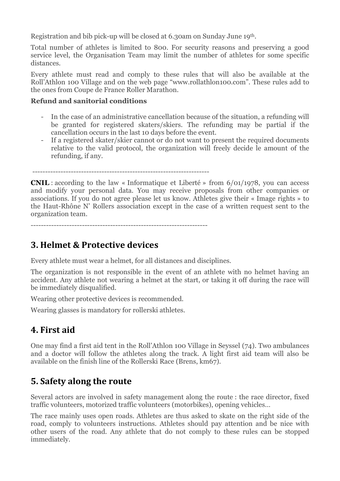Registration and bib pick-up will be closed at 6.30am on Sunday June 19th.

Total number of athletes is limited to 800. For security reasons and preserving a good service level, the Organisation Team may limit the number of athletes for some specific distances.

Every athlete must read and comply to these rules that will also be available at the Roll'Athlon 100 Village and on the web page "www.rollathlon100.com". These rules add to the ones from Coupe de France Roller Marathon.

#### Refund and sanitorial conditions

- In the case of an administrative cancellation because of the situation, a refunding will be granted for registered skaters/skiers. The refunding may be partial if the cancellation occurs in the last 10 days before the event.
- If a registered skater/skier cannot or do not want to present the required documents relative to the valid protocol, the organization will freely decide le amount of the refunding, if any.

---------------------------------------------------------------------

CNIL : according to the law « Informatique et Liberté » from 6/01/1978, you can access and modify your personal data. You may receive proposals from other companies or associations. If you do not agree please let us know. Athletes give their « Image rights » to the Haut-Rhône N' Rollers association except in the case of a written request sent to the organization team.

---------------------------------------------------------------------

## 3. Helmet & Protective devices

Every athlete must wear a helmet, for all distances and disciplines.

The organization is not responsible in the event of an athlete with no helmet having an accident. Any athlete not wearing a helmet at the start, or taking it off during the race will be immediately disqualified.

Wearing other protective devices is recommended.

Wearing glasses is mandatory for rollerski athletes.

# 4. First aid

One may find a first aid tent in the Roll'Athlon 100 Village in Seyssel (74). Two ambulances and a doctor will follow the athletes along the track. A light first aid team will also be available on the finish line of the Rollerski Race (Brens, km67).

# 5. Safety along the route

Several actors are involved in safety management along the route : the race director, fixed traffic volunteers, motorized traffic volunteers (motorbikes), opening vehicles…

The race mainly uses open roads. Athletes are thus asked to skate on the right side of the road, comply to volunteers instructions. Athletes should pay attention and be nice with other users of the road. Any athlete that do not comply to these rules can be stopped immediately.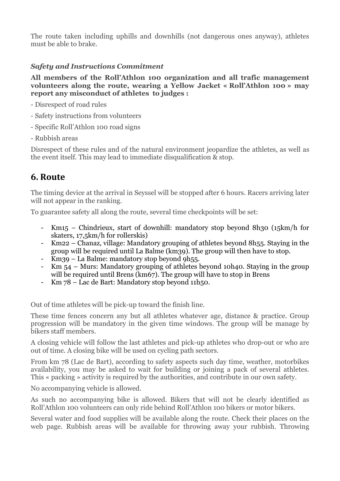The route taken including uphills and downhills (not dangerous ones anyway), athletes must be able to brake.

#### Safety and Instructions Commitment

All members of the Roll'Athlon 100 organization and all trafic management volunteers along the route, wearing a Yellow Jacket « Roll'Athlon 100 » may report any misconduct of athletes to judges :

- Disrespect of road rules
- Safety instructions from volunteers
- Specific Roll'Athlon 100 road signs
- Rubbish areas

Disrespect of these rules and of the natural environment jeopardize the athletes, as well as the event itself. This may lead to immediate disqualification & stop.

#### 6. Route

The timing device at the arrival in Seyssel will be stopped after 6 hours. Racers arriving later will not appear in the ranking.

To guarantee safety all along the route, several time checkpoints will be set:

- Km15 Chindrieux, start of downhill: mandatory stop beyond 8h30 (15km/h for skaters, 17,5km/h for rollerskis)
- Km22 Chanaz, village: Mandatory grouping of athletes beyond 8h55. Staying in the group will be required until La Balme (km39). The group will then have to stop.
- Km39 La Balme: mandatory stop beyond 9h55.
- Km 54 Murs: Mandatory grouping of athletes beyond 10h40. Staying in the group will be required until Brens (km67). The group will have to stop in Brens
- Km 78 Lac de Bart: Mandatory stop beyond 11h50.

Out of time athletes will be pick-up toward the finish line.

These time fences concern any but all athletes whatever age, distance & practice. Group progression will be mandatory in the given time windows. The group will be manage by bikers staff members.

A closing vehicle will follow the last athletes and pick-up athletes who drop-out or who are out of time. A closing bike will be used on cycling path sectors.

From km 78 (Lac de Bart), according to safety aspects such day time, weather, motorbikes availability, you may be asked to wait for building or joining a pack of several athletes. This « packing » activity is required by the authorities, and contribute in our own safety.

No accompanying vehicle is allowed.

As such no accompanying bike is allowed. Bikers that will not be clearly identified as Roll'Athlon 100 volunteers can only ride behind Roll'Athlon 100 bikers or motor bikers.

Several water and food supplies will be available along the route. Check their places on the web page. Rubbish areas will be available for throwing away your rubbish. Throwing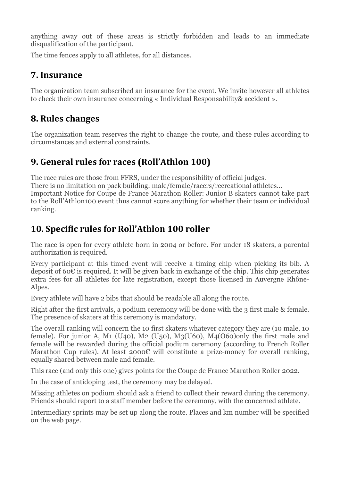anything away out of these areas is strictly forbidden and leads to an immediate disqualification of the participant.

The time fences apply to all athletes, for all distances.

#### 7. Insurance

The organization team subscribed an insurance for the event. We invite however all athletes to check their own insurance concerning « Individual Responsability& accident ».

## 8. Rules changes

The organization team reserves the right to change the route, and these rules according to circumstances and external constraints.

# 9. General rules for races (Roll'Athlon 100)

The race rules are those from FFRS, under the responsibility of official judges. There is no limitation on pack building: male/female/racers/recreational athletes… Important Notice for Coupe de France Marathon Roller: Junior B skaters cannot take part to the Roll'Athlon100 event thus cannot score anything for whether their team or individual ranking.

# 10. Specific rules for Roll'Athlon 100 roller

The race is open for every athlete born in 2004 or before. For under 18 skaters, a parental authorization is required.

Every participant at this timed event will receive a timing chip when picking its bib. A deposit of 60€ is required. It will be given back in exchange of the chip. This chip generates extra fees for all athletes for late registration, except those licensed in Auvergne Rhône-Alpes.

Every athlete will have 2 bibs that should be readable all along the route.

Right after the first arrivals, a podium ceremony will be done with the 3 first male & female. The presence of skaters at this ceremony is mandatory.

The overall ranking will concern the 10 first skaters whatever category they are (10 male, 10 female). For junior A, M1 (U40), M2 (U50), M3(U60), M4(O60)only the first male and female will be rewarded during the official podium ceremony (according to French Roller Marathon Cup rules). At least 2000 $\varepsilon$  will constitute a prize-money for overall ranking, equally shared between male and female.

This race (and only this one) gives points for the Coupe de France Marathon Roller 2022.

In the case of antidoping test, the ceremony may be delayed.

Missing athletes on podium should ask a friend to collect their reward during the ceremony. Friends should report to a staff member before the ceremony, with the concerned athlete.

Intermediary sprints may be set up along the route. Places and km number will be specified on the web page.